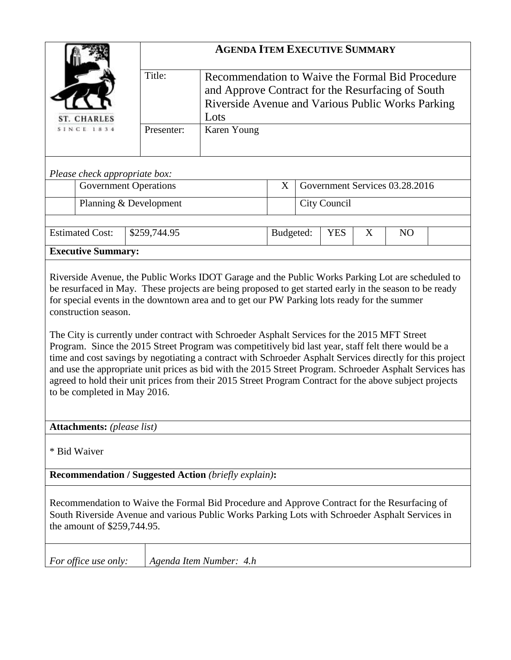|                                                                                                                                                                                                                                                                                                                                                                                                                                                                                                                                                                                                                                                                                                                                                                                                         |              | <b>AGENDA ITEM EXECUTIVE SUMMARY</b>                                                                                                                               |   |                                |                                                |  |  |  |  |
|---------------------------------------------------------------------------------------------------------------------------------------------------------------------------------------------------------------------------------------------------------------------------------------------------------------------------------------------------------------------------------------------------------------------------------------------------------------------------------------------------------------------------------------------------------------------------------------------------------------------------------------------------------------------------------------------------------------------------------------------------------------------------------------------------------|--------------|--------------------------------------------------------------------------------------------------------------------------------------------------------------------|---|--------------------------------|------------------------------------------------|--|--|--|--|
| ST. CHARLES                                                                                                                                                                                                                                                                                                                                                                                                                                                                                                                                                                                                                                                                                                                                                                                             | Title:       | Recommendation to Waive the Formal Bid Procedure<br>and Approve Contract for the Resurfacing of South<br>Riverside Avenue and Various Public Works Parking<br>Lots |   |                                |                                                |  |  |  |  |
| <b>SINCE 1834</b>                                                                                                                                                                                                                                                                                                                                                                                                                                                                                                                                                                                                                                                                                                                                                                                       | Presenter:   | Karen Young                                                                                                                                                        |   |                                |                                                |  |  |  |  |
| Please check appropriate box:                                                                                                                                                                                                                                                                                                                                                                                                                                                                                                                                                                                                                                                                                                                                                                           |              |                                                                                                                                                                    |   |                                |                                                |  |  |  |  |
| <b>Government Operations</b>                                                                                                                                                                                                                                                                                                                                                                                                                                                                                                                                                                                                                                                                                                                                                                            |              |                                                                                                                                                                    | X | Government Services 03.28.2016 |                                                |  |  |  |  |
| Planning & Development                                                                                                                                                                                                                                                                                                                                                                                                                                                                                                                                                                                                                                                                                                                                                                                  |              |                                                                                                                                                                    |   | City Council                   |                                                |  |  |  |  |
| <b>Estimated Cost:</b>                                                                                                                                                                                                                                                                                                                                                                                                                                                                                                                                                                                                                                                                                                                                                                                  | \$259,744.95 |                                                                                                                                                                    |   |                                | <b>YES</b><br>X<br>Budgeted:<br>N <sub>O</sub> |  |  |  |  |
| <b>Executive Summary:</b>                                                                                                                                                                                                                                                                                                                                                                                                                                                                                                                                                                                                                                                                                                                                                                               |              |                                                                                                                                                                    |   |                                |                                                |  |  |  |  |
| be resurfaced in May. These projects are being proposed to get started early in the season to be ready<br>for special events in the downtown area and to get our PW Parking lots ready for the summer<br>construction season.<br>The City is currently under contract with Schroeder Asphalt Services for the 2015 MFT Street<br>Program. Since the 2015 Street Program was competitively bid last year, staff felt there would be a<br>time and cost savings by negotiating a contract with Schroeder Asphalt Services directly for this project<br>and use the appropriate unit prices as bid with the 2015 Street Program. Schroeder Asphalt Services has<br>agreed to hold their unit prices from their 2015 Street Program Contract for the above subject projects<br>to be completed in May 2016. |              |                                                                                                                                                                    |   |                                |                                                |  |  |  |  |
| <b>Attachments:</b> (please list)                                                                                                                                                                                                                                                                                                                                                                                                                                                                                                                                                                                                                                                                                                                                                                       |              |                                                                                                                                                                    |   |                                |                                                |  |  |  |  |
| * Bid Waiver                                                                                                                                                                                                                                                                                                                                                                                                                                                                                                                                                                                                                                                                                                                                                                                            |              |                                                                                                                                                                    |   |                                |                                                |  |  |  |  |
| <b>Recommendation / Suggested Action (briefly explain):</b>                                                                                                                                                                                                                                                                                                                                                                                                                                                                                                                                                                                                                                                                                                                                             |              |                                                                                                                                                                    |   |                                |                                                |  |  |  |  |
| Recommendation to Waive the Formal Bid Procedure and Approve Contract for the Resurfacing of<br>South Riverside Avenue and various Public Works Parking Lots with Schroeder Asphalt Services in<br>the amount of \$259,744.95.                                                                                                                                                                                                                                                                                                                                                                                                                                                                                                                                                                          |              |                                                                                                                                                                    |   |                                |                                                |  |  |  |  |
| For office use only:                                                                                                                                                                                                                                                                                                                                                                                                                                                                                                                                                                                                                                                                                                                                                                                    |              | Agenda Item Number: 4.h                                                                                                                                            |   |                                |                                                |  |  |  |  |